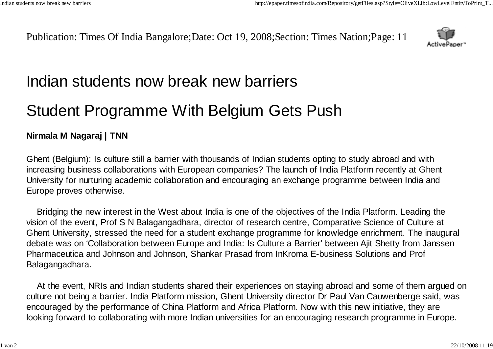Publication: Times Of India Bangalore;Date: Oct 19, 2008;Section: Times Nation;Page: 11



## Indian students now break new barriers

## Student Programme With Belgium Gets Push

## **Nirmala M Nagaraj | TNN**

Ghent (Belgium): Is culture still a barrier with thousands of Indian students opting to study abroad and with increasing business collaborations with European companies? The launch of India Platform recently at Ghent University for nurturing academic collaboration and encouraging an exchange programme between India and Europe proves otherwise.

Bridging the new interest in the West about India is one of the objectives of the India Platform. Leading the vision of the event, Prof S N Balagangadhara, director of research centre, Comparative Science of Culture at Ghent University, stressed the need for a student exchange programme for knowledge enrichment. The inaugural debate was on 'Collaboration between Europe and India: Is Culture a Barrier' between Ajit Shetty from Janssen Pharmaceutica and Johnson and Johnson, Shankar Prasad from InKroma E-business Solutions and Prof Balagangadhara.

At the event, NRIs and Indian students shared their experiences on staying abroad and some of them argued on culture not being a barrier. India Platform mission, Ghent University director Dr Paul Van Cauwenberge said, was encouraged by the performance of China Platform and Africa Platform. Now with this new initiative, they are looking forward to collaborating with more Indian universities for an encouraging research programme in Europe.